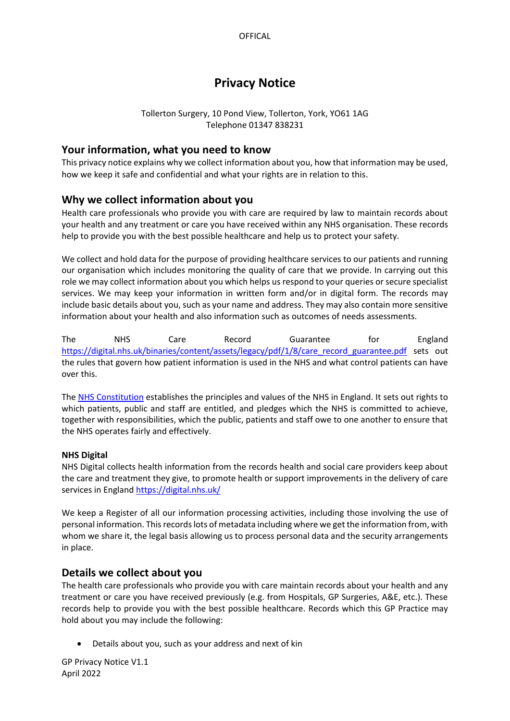# **Privacy Notice**

## Tollerton Surgery, 10 Pond View, Tollerton, York, YO61 1AG Telephone 01347 838231

## **Your information, what you need to know**

This privacy notice explains why we collect information about you, how that information may be used, how we keep it safe and confidential and what your rights are in relation to this.

# **Why we collect information about you**

Health care professionals who provide you with care are required by law to maintain records about your health and any treatment or care you have received within any NHS organisation. These records help to provide you with the best possible healthcare and help us to protect your safety.

We collect and hold data for the purpose of providing healthcare services to our patients and running our organisation which includes monitoring the quality of care that we provide. In carrying out this role we may collect information about you which helps us respond to your queries or secure specialist services. We may keep your information in written form and/or in digital form. The records may include basic details about you, such as your name and address. They may also contain more sensitive information about your health and also information such as outcomes of needs assessments.

The NHS Care Record Guarantee for England [https://digital.nhs.uk/binaries/content/assets/legacy/pdf/1/8/care\\_record\\_guarantee.pdf](https://digital.nhs.uk/binaries/content/assets/legacy/pdf/1/8/care_record_guarantee.pdf)\_sets out the rules that govern how patient information is used in the NHS and what control patients can have over this.

The [NHS Constitution](https://www.gov.uk/government/publications/the-nhs-constitution-for-england) establishes the principles and values of the NHS in England. It sets out rights to which patients, public and staff are entitled, and pledges which the NHS is committed to achieve, together with responsibilities, which the public, patients and staff owe to one another to ensure that the NHS operates fairly and effectively.

## **NHS Digital**

NHS Digital collects health information from the records health and social care providers keep about the care and treatment they give, to promote health or support improvements in the delivery of care services in England <https://digital.nhs.uk/>

We keep a Register of all our information processing activities, including those involving the use of personal information. This records lots of metadata including where we get the information from, with whom we share it, the legal basis allowing us to process personal data and the security arrangements in place.

## **Details we collect about you**

The health care professionals who provide you with care maintain records about your health and any treatment or care you have received previously (e.g. from Hospitals, GP Surgeries, A&E, etc.). These records help to provide you with the best possible healthcare. Records which this GP Practice may hold about you may include the following:

• Details about you, such as your address and next of kin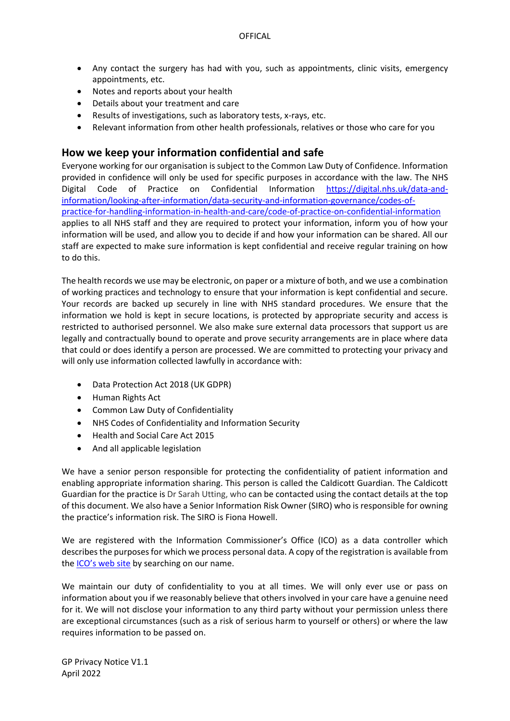- Any contact the surgery has had with you, such as appointments, clinic visits, emergency appointments, etc.
- Notes and reports about your health
- Details about your treatment and care
- Results of investigations, such as laboratory tests, x-rays, etc.
- Relevant information from other health professionals, relatives or those who care for you

## **How we keep your information confidential and safe**

Everyone working for our organisation is subject to the Common Law Duty of Confidence. Information provided in confidence will only be used for specific purposes in accordance with the law. The NHS Digital Code of Practice on Confidential Information [https://digital.nhs.uk/data-and](https://digital.nhs.uk/data-and-information/looking-after-information/data-security-and-information-governance/codes-of-practice-for-handling-information-in-health-and-care/code-of-practice-on-confidential-information)[information/looking-after-information/data-security-and-information-governance/codes-of](https://digital.nhs.uk/data-and-information/looking-after-information/data-security-and-information-governance/codes-of-practice-for-handling-information-in-health-and-care/code-of-practice-on-confidential-information)[practice-for-handling-information-in-health-and-care/code-of-practice-on-confidential-information](https://digital.nhs.uk/data-and-information/looking-after-information/data-security-and-information-governance/codes-of-practice-for-handling-information-in-health-and-care/code-of-practice-on-confidential-information) applies to all NHS staff and they are required to protect your information, inform you of how your information will be used, and allow you to decide if and how your information can be shared. All our staff are expected to make sure information is kept confidential and receive regular training on how to do this.

The health records we use may be electronic, on paper or a mixture of both, and we use a combination of working practices and technology to ensure that your information is kept confidential and secure. Your records are backed up securely in line with NHS standard procedures. We ensure that the information we hold is kept in secure locations, is protected by appropriate security and access is restricted to authorised personnel. We also make sure external data processors that support us are legally and contractually bound to operate and prove security arrangements are in place where data that could or does identify a person are processed. We are committed to protecting your privacy and will only use information collected lawfully in accordance with:

- Data Protection Act 2018 (UK GDPR)
- Human Rights Act
- Common Law Duty of Confidentiality
- NHS Codes of Confidentiality and Information Security
- Health and Social Care Act 2015
- And all applicable legislation

We have a senior person responsible for protecting the confidentiality of patient information and enabling appropriate information sharing. This person is called the Caldicott Guardian. The Caldicott Guardian for the practice is Dr Sarah Utting, who can be contacted using the contact details at the top of this document. We also have a Senior Information Risk Owner (SIRO) who is responsible for owning the practice's information risk. The SIRO is Fiona Howell.

We are registered with the Information Commissioner's Office (ICO) as a data controller which describes the purposes for which we process personal data. A copy of the registration is available from the ICO'[s web site](https://ico.org.uk/about-the-ico/what-we-do/register-of-data-controllers/) by searching on our name.

We maintain our duty of confidentiality to you at all times. We will only ever use or pass on information about you if we reasonably believe that others involved in your care have a genuine need for it. We will not disclose your information to any third party without your permission unless there are exceptional circumstances (such as a risk of serious harm to yourself or others) or where the law requires information to be passed on.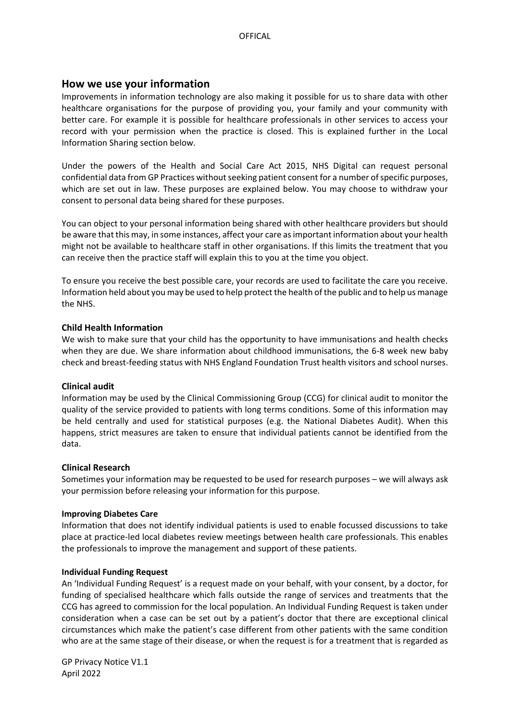## **How we use your information**

Improvements in information technology are also making it possible for us to share data with other healthcare organisations for the purpose of providing you, your family and your community with better care. For example it is possible for healthcare professionals in other services to access your record with your permission when the practice is closed. This is explained further in the Local Information Sharing section below.

Under the powers of the Health and Social Care Act 2015, NHS Digital can request personal confidential data from GP Practices without seeking patient consent for a number of specific purposes, which are set out in law. These purposes are explained below. You may choose to withdraw your consent to personal data being shared for these purposes.

You can object to your personal information being shared with other healthcare providers but should be aware that this may, in some instances, affect your care as important information about your health might not be available to healthcare staff in other organisations. If this limits the treatment that you can receive then the practice staff will explain this to you at the time you object.

To ensure you receive the best possible care, your records are used to facilitate the care you receive. Information held about you may be used to help protect the health of the public and to help us manage the NHS.

## **Child Health Information**

We wish to make sure that your child has the opportunity to have immunisations and health checks when they are due. We share information about childhood immunisations, the 6-8 week new baby check and breast-feeding status with NHS England Foundation Trust health visitors and school nurses.

## **Clinical audit**

Information may be used by the Clinical Commissioning Group (CCG) for clinical audit to monitor the quality of the service provided to patients with long terms conditions. Some of this information may be held centrally and used for statistical purposes (e.g. the National Diabetes Audit). When this happens, strict measures are taken to ensure that individual patients cannot be identified from the data.

## **Clinical Research**

Sometimes your information may be requested to be used for research purposes – we will always ask your permission before releasing your information for this purpose.

## **Improving Diabetes Care**

Information that does not identify individual patients is used to enable focussed discussions to take place at practice-led local diabetes review meetings between health care professionals. This enables the professionals to improve the management and support of these patients.

## **Individual Funding Request**

An 'Individual Funding Request' is a request made on your behalf, with your consent, by a doctor, for funding of specialised healthcare which falls outside the range of services and treatments that the CCG has agreed to commission for the local population. An Individual Funding Request is taken under consideration when a case can be set out by a patient's doctor that there are exceptional clinical circumstances which make the patient's case different from other patients with the same condition who are at the same stage of their disease, or when the request is for a treatment that is regarded as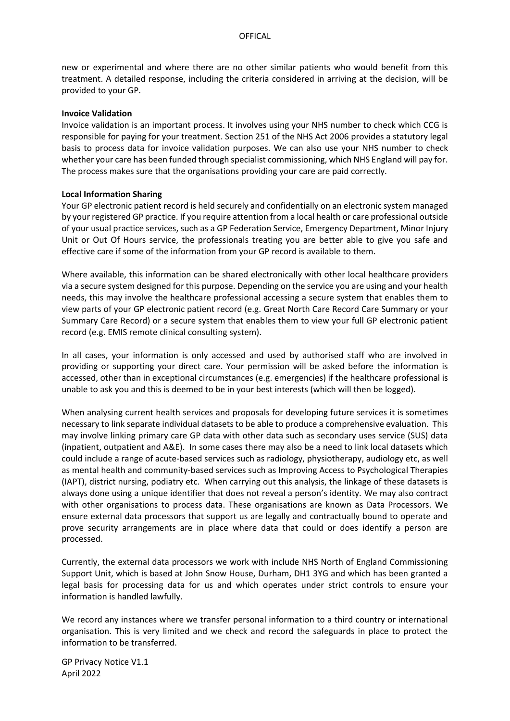new or experimental and where there are no other similar patients who would benefit from this treatment. A detailed response, including the criteria considered in arriving at the decision, will be provided to your GP.

#### **Invoice Validation**

Invoice validation is an important process. It involves using your NHS number to check which CCG is responsible for paying for your treatment. Section 251 of the NHS Act 2006 provides a statutory legal basis to process data for invoice validation purposes. We can also use your NHS number to check whether your care has been funded through specialist commissioning, which NHS England will pay for. The process makes sure that the organisations providing your care are paid correctly.

## **Local Information Sharing**

Your GP electronic patient record is held securely and confidentially on an electronic system managed by your registered GP practice. If you require attention from a local health or care professional outside of your usual practice services, such as a GP Federation Service, Emergency Department, Minor Injury Unit or Out Of Hours service, the professionals treating you are better able to give you safe and effective care if some of the information from your GP record is available to them.

Where available, this information can be shared electronically with other local healthcare providers via a secure system designed for this purpose. Depending on the service you are using and your health needs, this may involve the healthcare professional accessing a secure system that enables them to view parts of your GP electronic patient record (e.g. Great North Care Record Care Summary or your Summary Care Record) or a secure system that enables them to view your full GP electronic patient record (e.g. EMIS remote clinical consulting system).

In all cases, your information is only accessed and used by authorised staff who are involved in providing or supporting your direct care. Your permission will be asked before the information is accessed, other than in exceptional circumstances (e.g. emergencies) if the healthcare professional is unable to ask you and this is deemed to be in your best interests (which will then be logged).

When analysing current health services and proposals for developing future services it is sometimes necessary to link separate individual datasets to be able to produce a comprehensive evaluation. This may involve linking primary care GP data with other data such as secondary uses service (SUS) data (inpatient, outpatient and A&E). In some cases there may also be a need to link local datasets which could include a range of acute-based services such as radiology, physiotherapy, audiology etc, as well as mental health and community-based services such as Improving Access to Psychological Therapies (IAPT), district nursing, podiatry etc. When carrying out this analysis, the linkage of these datasets is always done using a unique identifier that does not reveal a person's identity. We may also contract with other organisations to process data. These organisations are known as Data Processors. We ensure external data processors that support us are legally and contractually bound to operate and prove security arrangements are in place where data that could or does identify a person are processed.

Currently, the external data processors we work with include NHS North of England Commissioning Support Unit, which is based at John Snow House, Durham, DH1 3YG and which has been granted a legal basis for processing data for us and which operates under strict controls to ensure your information is handled lawfully.

We record any instances where we transfer personal information to a third country or international organisation. This is very limited and we check and record the safeguards in place to protect the information to be transferred.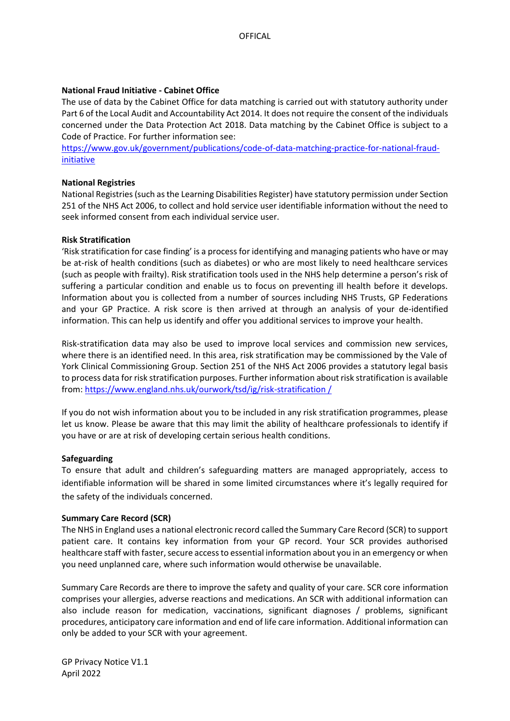## **National Fraud Initiative - Cabinet Office**

The use of data by the Cabinet Office for data matching is carried out with statutory authority under Part 6 of the Local Audit and Accountability Act 2014. It does not require the consent of the individuals concerned under the Data Protection Act 2018. Data matching by the Cabinet Office is subject to a Code of Practice. For further information see:

[https://www.gov.uk/government/publications/code-of-data-matching-practice-for-national-fraud](https://www.gov.uk/government/publications/code-of-data-matching-practice-for-national-fraud-initiative)[initiative](https://www.gov.uk/government/publications/code-of-data-matching-practice-for-national-fraud-initiative)

## **National Registries**

National Registries (such as the Learning Disabilities Register) have statutory permission under Section 251 of the NHS Act 2006, to collect and hold service user identifiable information without the need to seek informed consent from each individual service user.

#### **Risk Stratification**

'Risk stratification for case finding' is a process for identifying and managing patients who have or may be at-risk of health conditions (such as diabetes) or who are most likely to need healthcare services (such as people with frailty). Risk stratification tools used in the NHS help determine a person's risk of suffering a particular condition and enable us to focus on preventing ill health before it develops. Information about you is collected from a number of sources including NHS Trusts, GP Federations and your GP Practice. A risk score is then arrived at through an analysis of your de-identified information. This can help us identify and offer you additional services to improve your health.

Risk-stratification data may also be used to improve local services and commission new services, where there is an identified need. In this area, risk stratification may be commissioned by the Vale of York Clinical Commissioning Group. Section 251 of the NHS Act 2006 provides a statutory legal basis to process data for risk stratification purposes. Further information about risk stratification is available from: [https://www.england.nhs.uk/ourwork/tsd/ig/risk-stratification /](https://www.england.nhs.uk/ourwork/tsd/ig/risk-stratification%20/)

If you do not wish information about you to be included in any risk stratification programmes, please let us know. Please be aware that this may limit the ability of healthcare professionals to identify if you have or are at risk of developing certain serious health conditions.

## **Safeguarding**

To ensure that adult and children's safeguarding matters are managed appropriately, access to identifiable information will be shared in some limited circumstances where it's legally required for the safety of the individuals concerned.

#### **Summary Care Record (SCR)**

The NHS in England uses a national electronic record called the Summary Care Record (SCR) to support patient care. It contains key information from your GP record. Your SCR provides authorised healthcare staff with faster, secure access to essential information about you in an emergency or when you need unplanned care, where such information would otherwise be unavailable.

Summary Care Records are there to improve the safety and quality of your care. SCR core information comprises your allergies, adverse reactions and medications. An SCR with additional information can also include reason for medication, vaccinations, significant diagnoses / problems, significant procedures, anticipatory care information and end of life care information. Additional information can only be added to your SCR with your agreement.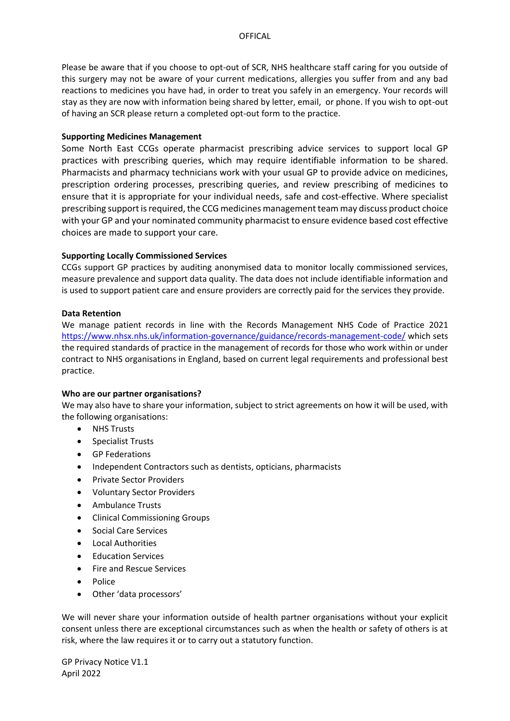Please be aware that if you choose to opt-out of SCR, NHS healthcare staff caring for you outside of this surgery may not be aware of your current medications, allergies you suffer from and any bad reactions to medicines you have had, in order to treat you safely in an emergency. Your records will stay as they are now with information being shared by letter, email, or phone. If you wish to opt-out of having an SCR please return a completed opt-out form to the practice.

#### **Supporting Medicines Management**

Some North East CCGs operate pharmacist prescribing advice services to support local GP practices with prescribing queries, which may require identifiable information to be shared. Pharmacists and pharmacy technicians work with your usual GP to provide advice on medicines, prescription ordering processes, prescribing queries, and review prescribing of medicines to ensure that it is appropriate for your individual needs, safe and cost-effective. Where specialist prescribing support is required, the CCG medicines management team may discuss product choice with your GP and your nominated community pharmacist to ensure evidence based cost effective choices are made to support your care.

## **Supporting Locally Commissioned Services**

CCGs support GP practices by auditing anonymised data to monitor locally commissioned services, measure prevalence and support data quality. The data does not include identifiable information and is used to support patient care and ensure providers are correctly paid for the services they provide.

## **Data Retention**

We manage patient records in line with the Records Management NHS Code of Practice 2021 <https://www.nhsx.nhs.uk/information-governance/guidance/records-management-code/> which sets the required standards of practice in the management of records for those who work within or under contract to NHS organisations in England, based on current legal requirements and professional best practice.

## **Who are our partner organisations?**

We may also have to share your information, subject to strict agreements on how it will be used, with the following organisations:

- NHS Trusts
- Specialist Trusts
- GP Federations
- Independent Contractors such as dentists, opticians, pharmacists
- Private Sector Providers
- Voluntary Sector Providers
- Ambulance Trusts
- Clinical Commissioning Groups
- Social Care Services
- Local Authorities
- Education Services
- Fire and Rescue Services
- Police
- Other 'data processors'

We will never share your information outside of health partner organisations without your explicit consent unless there are exceptional circumstances such as when the health or safety of others is at risk, where the law requires it or to carry out a statutory function.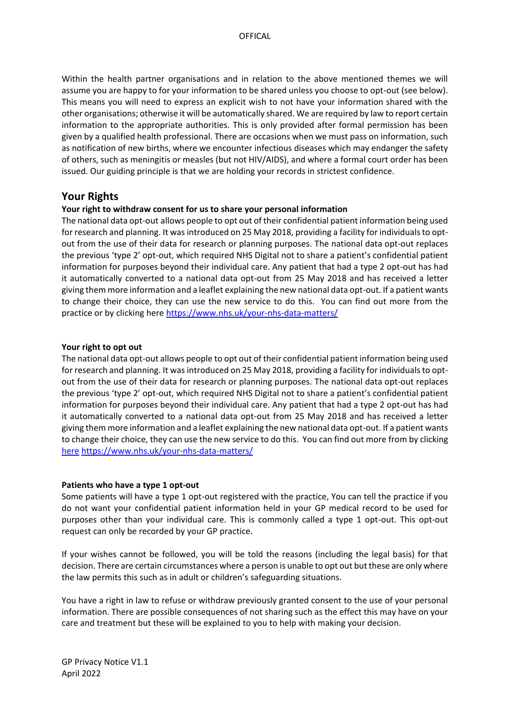Within the health partner organisations and in relation to the above mentioned themes we will assume you are happy to for your information to be shared unless you choose to opt-out (see below). This means you will need to express an explicit wish to not have your information shared with the other organisations; otherwise it will be automatically shared. We are required by law to report certain information to the appropriate authorities. This is only provided after formal permission has been given by a qualified health professional. There are occasions when we must pass on information, such as notification of new births, where we encounter infectious diseases which may endanger the safety of others, such as meningitis or measles (but not HIV/AIDS), and where a formal court order has been issued. Our guiding principle is that we are holding your records in strictest confidence.

## **Your Rights**

## **Your right to withdraw consent for us to share your personal information**

The national data opt-out allows people to opt out of their confidential patient information being used for research and planning. It was introduced on 25 May 2018, providing a facility for individuals to optout from the use of their data for research or planning purposes. The national data opt-out replaces the previous 'type 2' opt-out, which required NHS Digital not to share a patient's confidential patient information for purposes beyond their individual care. Any patient that had a type 2 opt-out has had it automatically converted to a national data opt-out from 25 May 2018 and has received a letter giving them more information and a leaflet explaining the new national data opt-out. If a patient wants to change their choice, they can use the new service to do this. You can find out more from the practice or by clicking here<https://www.nhs.uk/your-nhs-data-matters/>

#### **Your right to opt out**

The national data opt-out allows people to opt out of their confidential patient information being used for research and planning. It was introduced on 25 May 2018, providing a facility for individuals to optout from the use of their data for research or planning purposes. The national data opt-out replaces the previous 'type 2' opt-out, which required NHS Digital not to share a patient's confidential patient information for purposes beyond their individual care. Any patient that had a type 2 opt-out has had it automatically converted to a national data opt-out from 25 May 2018 and has received a letter giving them more information and a leaflet explaining the new national data opt-out. If a patient wants to change their choice, they can use the new service to do this. You can find out more from by clicking [here](https://www.nhs.uk/your-nhs-data-matters/) <https://www.nhs.uk/your-nhs-data-matters/>

#### **Patients who have a type 1 opt-out**

Some patients will have a type 1 opt-out registered with the practice, You can tell the practice if you do not want your confidential patient information held in your GP medical record to be used for purposes other than your individual care. This is commonly called a type 1 opt-out. This opt-out request can only be recorded by your GP practice.

If your wishes cannot be followed, you will be told the reasons (including the legal basis) for that decision. There are certain circumstances where a person is unable to opt out but these are only where the law permits this such as in adult or children's safeguarding situations.

You have a right in law to refuse or withdraw previously granted consent to the use of your personal information. There are possible consequences of not sharing such as the effect this may have on your care and treatment but these will be explained to you to help with making your decision.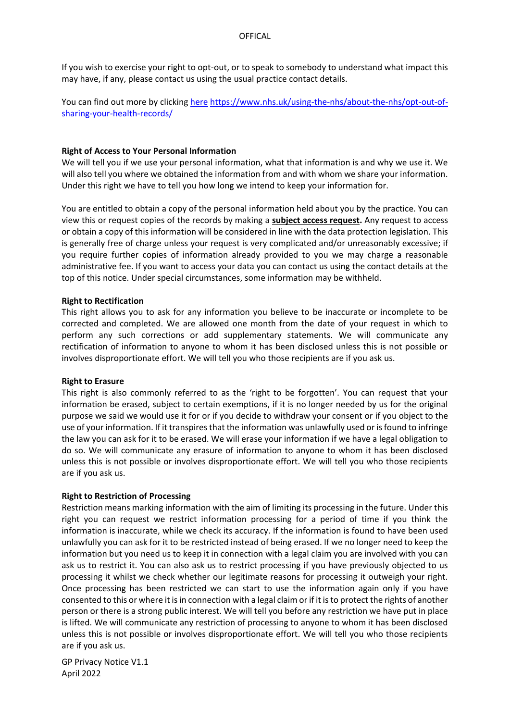If you wish to exercise your right to opt-out, or to speak to somebody to understand what impact this may have, if any, please contact us using the usual practice contact details.

You can find out more by clicking [here](https://www.nhs.uk/using-the-nhs/about-the-nhs/opt-out-of-sharing-your-health-records/) [https://www.nhs.uk/using-the-nhs/about-the-nhs/opt-out-of](https://www.nhs.uk/using-the-nhs/about-the-nhs/opt-out-of-sharing-your-health-records/)[sharing-your-health-records/](https://www.nhs.uk/using-the-nhs/about-the-nhs/opt-out-of-sharing-your-health-records/)

## **Right of Access to Your Personal Information**

We will tell you if we use your personal information, what that information is and why we use it. We will also tell you where we obtained the information from and with whom we share your information. Under this right we have to tell you how long we intend to keep your information for.

You are entitled to obtain a copy of the personal information held about you by the practice. You can view this or request copies of the records by making a **[subject access request.](https://ico.org.uk/for-the-public/personal-information/)** Any request to access or obtain a copy of this information will be considered in line with the data protection legislation. This is generally free of charge unless your request is very complicated and/or unreasonably excessive; if you require further copies of information already provided to you we may charge a reasonable administrative fee. If you want to access your data you can contact us using the contact details at the top of this notice. Under special circumstances, some information may be withheld.

#### **Right to Rectification**

This right allows you to ask for any information you believe to be inaccurate or incomplete to be corrected and completed. We are allowed one month from the date of your request in which to perform any such corrections or add supplementary statements. We will communicate any rectification of information to anyone to whom it has been disclosed unless this is not possible or involves disproportionate effort. We will tell you who those recipients are if you ask us.

#### **Right to Erasure**

This right is also commonly referred to as the 'right to be forgotten'. You can request that your information be erased, subject to certain exemptions, if it is no longer needed by us for the original purpose we said we would use it for or if you decide to withdraw your consent or if you object to the use of your information. If it transpires that the information was unlawfully used or is found to infringe the law you can ask for it to be erased. We will erase your information if we have a legal obligation to do so. We will communicate any erasure of information to anyone to whom it has been disclosed unless this is not possible or involves disproportionate effort. We will tell you who those recipients are if you ask us.

#### **Right to Restriction of Processing**

Restriction means marking information with the aim of limiting its processing in the future. Under this right you can request we restrict information processing for a period of time if you think the information is inaccurate, while we check its accuracy. If the information is found to have been used unlawfully you can ask for it to be restricted instead of being erased. If we no longer need to keep the information but you need us to keep it in connection with a legal claim you are involved with you can ask us to restrict it. You can also ask us to restrict processing if you have previously objected to us processing it whilst we check whether our legitimate reasons for processing it outweigh your right. Once processing has been restricted we can start to use the information again only if you have consented to this or where it is in connection with a legal claim or if it is to protect the rights of another person or there is a strong public interest. We will tell you before any restriction we have put in place is lifted. We will communicate any restriction of processing to anyone to whom it has been disclosed unless this is not possible or involves disproportionate effort. We will tell you who those recipients are if you ask us.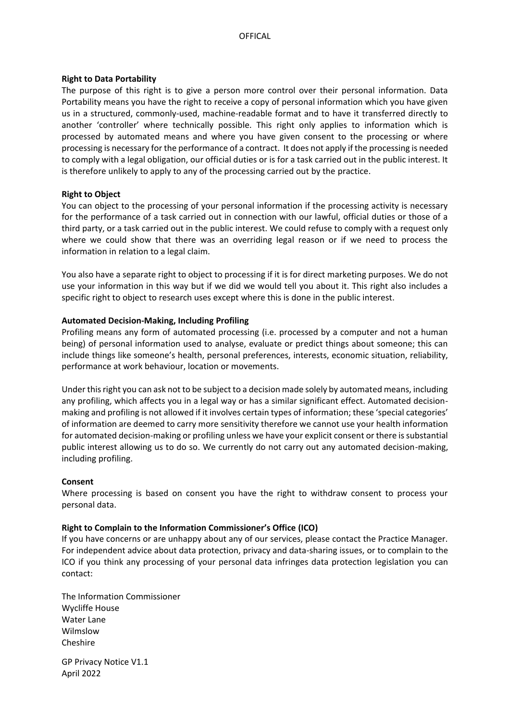#### **Right to Data Portability**

The purpose of this right is to give a person more control over their personal information. Data Portability means you have the right to receive a copy of personal information which you have given us in a structured, commonly-used, machine-readable format and to have it transferred directly to another 'controller' where technically possible. This right only applies to information which is processed by automated means and where you have given consent to the processing or where processing is necessary for the performance of a contract. It does not apply if the processing is needed to comply with a legal obligation, our official duties or is for a task carried out in the public interest. It is therefore unlikely to apply to any of the processing carried out by the practice.

#### **Right to Object**

You can object to the processing of your personal information if the processing activity is necessary for the performance of a task carried out in connection with our lawful, official duties or those of a third party, or a task carried out in the public interest. We could refuse to comply with a request only where we could show that there was an overriding legal reason or if we need to process the information in relation to a legal claim.

You also have a separate right to object to processing if it is for direct marketing purposes. We do not use your information in this way but if we did we would tell you about it. This right also includes a specific right to object to research uses except where this is done in the public interest.

#### **Automated Decision-Making, Including Profiling**

Profiling means any form of automated processing (i.e. processed by a computer and not a human being) of personal information used to analyse, evaluate or predict things about someone; this can include things like someone's health, personal preferences, interests, economic situation, reliability, performance at work behaviour, location or movements.

Under this right you can ask not to be subject to a decision made solely by automated means, including any profiling, which affects you in a legal way or has a similar significant effect. Automated decisionmaking and profiling is not allowed if it involves certain types of information; these 'special categories' of information are deemed to carry more sensitivity therefore we cannot use your health information for automated decision-making or profiling unless we have your explicit consent or there is substantial public interest allowing us to do so. We currently do not carry out any automated decision-making, including profiling.

#### **Consent**

Where processing is based on consent you have the right to withdraw consent to process your personal data.

#### **Right to Complain to the Information Commissioner's Office (ICO)**

If you have concerns or are unhappy about any of our services, please contact the Practice Manager. For independent advice about data protection, privacy and data-sharing issues, or to complain to the ICO if you think any processing of your personal data infringes data protection legislation you can contact:

The Information Commissioner Wycliffe House Water Lane Wilmslow Cheshire